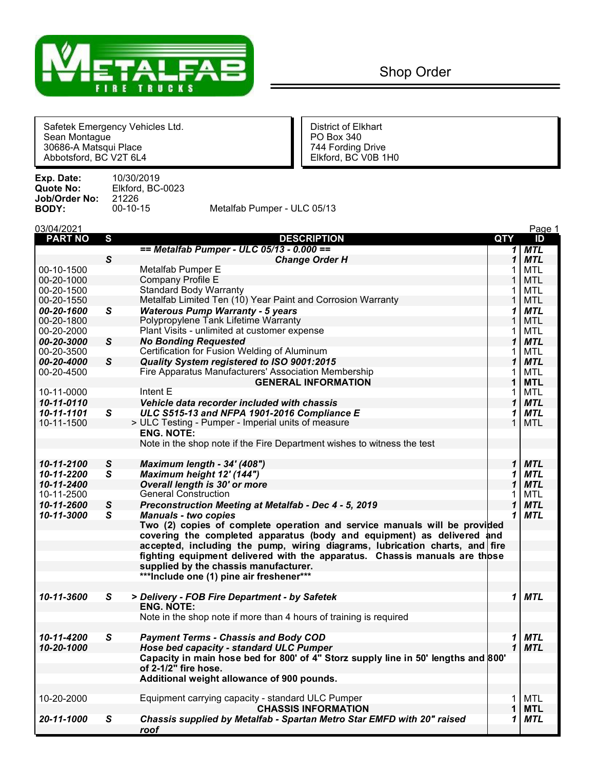

Safetek Emergency Vehicles Ltd. District of Elkhart Sean Montague **Politics** Contract Contract Contract Politics Politics Politics Politics Politics Politics Politics 30686-A Matsqui Place 744 Fording Drive Abbotsford, BC V2T 6L4 Elkford, BC V0B 1H0

| Exp. Date:    | 10/30/2019       |                             |
|---------------|------------------|-----------------------------|
| Quote No:     | Elkford, BC-0023 |                             |
| Job/Order No: | 21226            |                             |
| BODY:         | $00-10-15$       | Metalfab Pumper - ULC 05/13 |
|               |                  |                             |

| 03/04/2021     |              |                                                                                    |              | Page 1     |
|----------------|--------------|------------------------------------------------------------------------------------|--------------|------------|
| <b>PART NO</b> | S            | <b>DESCRIPTION</b>                                                                 | QTY          | ID         |
|                |              | == Metalfab Pumper - ULC 05/13 - 0.000 ==                                          | 1            | <b>MTL</b> |
|                | $\mathsf{s}$ | <b>Change Order H</b>                                                              | 1            | <b>MTL</b> |
| 00-10-1500     |              | Metalfab Pumper E                                                                  | 1            | <b>MTL</b> |
| 00-20-1000     |              | Company Profile E                                                                  |              | <b>MTL</b> |
| 00-20-1500     |              | <b>Standard Body Warranty</b>                                                      |              | <b>MTL</b> |
| 00-20-1550     |              | Metalfab Limited Ten (10) Year Paint and Corrosion Warranty                        | 1            | <b>MTL</b> |
| 00-20-1600     | $\mathsf{s}$ | <b>Waterous Pump Warranty - 5 years</b>                                            | 1            | <b>MTL</b> |
| 00-20-1800     |              | Polypropylene Tank Lifetime Warranty                                               | 1            | <b>MTL</b> |
| 00-20-2000     |              | Plant Visits - unlimited at customer expense                                       | 1            | <b>MTL</b> |
| 00-20-3000     | S            | <b>No Bonding Requested</b>                                                        | 1            | <b>MTL</b> |
| 00-20-3500     |              | Certification for Fusion Welding of Aluminum                                       | 1            | <b>MTL</b> |
| 00-20-4000     | S            | Quality System registered to ISO 9001:2015                                         | 1            | <b>MTL</b> |
| 00-20-4500     |              | Fire Apparatus Manufacturers' Association Membership                               | 1            | <b>MTL</b> |
|                |              | <b>GENERAL INFORMATION</b>                                                         | 1            | <b>MTL</b> |
| 10-11-0000     |              | Intent E                                                                           | 1            | <b>MTL</b> |
| 10-11-0110     |              | Vehicle data recorder included with chassis                                        | 1            | <b>MTL</b> |
| 10-11-1101     | S            | ULC S515-13 and NFPA 1901-2016 Compliance E                                        | 1            | <b>MTL</b> |
| 10-11-1500     |              | > ULC Testing - Pumper - Imperial units of measure                                 | 1            | <b>MTL</b> |
|                |              | <b>ENG. NOTE:</b>                                                                  |              |            |
|                |              | Note in the shop note if the Fire Department wishes to witness the test            |              |            |
|                |              |                                                                                    |              |            |
| 10-11-2100     | S            | Maximum length - 34' (408")                                                        | $\mathbf{1}$ | <b>MTL</b> |
| 10-11-2200     | S            | Maximum height 12' (144")                                                          | 1            | <b>MTL</b> |
| 10-11-2400     |              | Overall length is 30' or more                                                      | 1            | <b>MTL</b> |
| 10-11-2500     |              | <b>General Construction</b>                                                        | 1            | <b>MTL</b> |
| 10-11-2600     | S            | Preconstruction Meeting at Metalfab - Dec 4 - 5, 2019                              | 1            | <b>MTL</b> |
| 10-11-3000     | $\mathsf{s}$ | <b>Manuals - two copies</b>                                                        | 1            | <b>MTL</b> |
|                |              | Two (2) copies of complete operation and service manuals will be provided          |              |            |
|                |              | covering the completed apparatus (body and equipment) as delivered and             |              |            |
|                |              | accepted, including the pump, wiring diagrams, lubrication charts, and fire        |              |            |
|                |              | fighting equipment delivered with the apparatus. Chassis manuals are those         |              |            |
|                |              | supplied by the chassis manufacturer.                                              |              |            |
|                |              | ***Include one (1) pine air freshener***                                           |              |            |
| 10-11-3600     | $\mathbf{s}$ | > Delivery - FOB Fire Department - by Safetek                                      | 1            | <b>MTL</b> |
|                |              | <b>ENG. NOTE:</b>                                                                  |              |            |
|                |              | Note in the shop note if more than 4 hours of training is required                 |              |            |
|                |              |                                                                                    |              |            |
| 10-11-4200     | S            | <b>Payment Terms - Chassis and Body COD</b>                                        | 1            | <b>MTL</b> |
| 10-20-1000     |              | Hose bed capacity - standard ULC Pumper                                            | $\mathbf{1}$ | <b>MTL</b> |
|                |              | Capacity in main hose bed for 800' of 4" Storz supply line in 50' lengths and 800' |              |            |
|                |              | of 2-1/2" fire hose.                                                               |              |            |
|                |              | Additional weight allowance of 900 pounds.                                         |              |            |
| 10-20-2000     |              | Equipment carrying capacity - standard ULC Pumper                                  | 1.           | <b>MTL</b> |
|                |              | <b>CHASSIS INFORMATION</b>                                                         | 1            | <b>MTL</b> |
| 20-11-1000     | $\mathbf{s}$ | Chassis supplied by Metalfab - Spartan Metro Star EMFD with 20" raised             | 1            | <b>MTL</b> |
|                |              | <u>roof</u>                                                                        |              |            |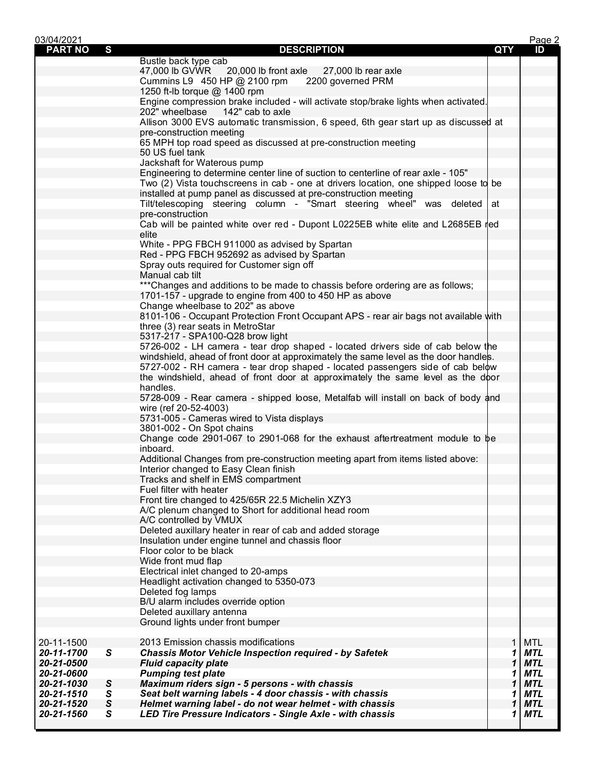| 03/04/2021     |                |                                                                                              |            | Page 2     |
|----------------|----------------|----------------------------------------------------------------------------------------------|------------|------------|
| <b>PART NO</b> | S              | <b>DESCRIPTION</b>                                                                           | <b>QTY</b> | ID         |
|                |                | Bustle back type cab                                                                         |            |            |
|                |                | 47,000 lb GVWR 20,000 lb front axle<br>27,000 lb rear axle                                   |            |            |
|                |                | Cummins L9 450 HP @ 2100 rpm<br>2200 governed PRM                                            |            |            |
|                |                | 1250 ft-lb torque @ 1400 rpm                                                                 |            |            |
|                |                | Engine compression brake included - will activate stop/brake lights when activated.          |            |            |
|                |                | 202" wheelbase<br>142" cab to axle                                                           |            |            |
|                |                | Allison 3000 EVS automatic transmission, 6 speed, 6th gear start up as discussed at          |            |            |
|                |                | pre-construction meeting                                                                     |            |            |
|                |                | 65 MPH top road speed as discussed at pre-construction meeting                               |            |            |
|                |                | 50 US fuel tank                                                                              |            |            |
|                |                | Jackshaft for Waterous pump                                                                  |            |            |
|                |                | Engineering to determine center line of suction to centerline of rear axle - 105"            |            |            |
|                |                | Two (2) Vista touchscreens in cab - one at drivers location, one shipped loose to be         |            |            |
|                |                | installed at pump panel as discussed at pre-construction meeting                             |            |            |
|                |                | Tilt/telescoping steering column - "Smart steering wheel" was deleted                        | at         |            |
|                |                | pre-construction                                                                             |            |            |
|                |                | Cab will be painted white over red - Dupont L0225EB white elite and L2685EB red              |            |            |
|                |                | elite                                                                                        |            |            |
|                |                | White - PPG FBCH 911000 as advised by Spartan<br>Red - PPG FBCH 952692 as advised by Spartan |            |            |
|                |                | Spray outs required for Customer sign off                                                    |            |            |
|                |                | Manual cab tilt                                                                              |            |            |
|                |                | *** Changes and additions to be made to chassis before ordering are as follows;              |            |            |
|                |                | 1701-157 - upgrade to engine from 400 to 450 HP as above                                     |            |            |
|                |                | Change wheelbase to 202" as above                                                            |            |            |
|                |                | 8101-106 - Occupant Protection Front Occupant APS - rear air bags not available with         |            |            |
|                |                | three (3) rear seats in MetroStar                                                            |            |            |
|                |                | 5317-217 - SPA100-Q28 brow light                                                             |            |            |
|                |                | 5726-002 - LH camera - tear drop shaped - located drivers side of cab below the              |            |            |
|                |                | windshield, ahead of front door at approximately the same level as the door handles.         |            |            |
|                |                | 5727-002 - RH camera - tear drop shaped - located passengers side of cab below               |            |            |
|                |                | the windshield, ahead of front door at approximately the same level as the door              |            |            |
|                |                | handles.                                                                                     |            |            |
|                |                | 5728-009 - Rear camera - shipped loose, Metalfab will install on back of body and            |            |            |
|                |                | wire (ref 20-52-4003)                                                                        |            |            |
|                |                | 5731-005 - Cameras wired to Vista displays                                                   |            |            |
|                |                | 3801-002 - On Spot chains                                                                    |            |            |
|                |                | Change code 2901-067 to 2901-068 for the exhaust aftertreatment module to be                 |            |            |
|                |                | inboard.                                                                                     |            |            |
|                |                | Additional Changes from pre-construction meeting apart from items listed above:              |            |            |
|                |                | Interior changed to Easy Clean finish                                                        |            |            |
|                |                | Tracks and shelf in EMS compartment                                                          |            |            |
|                |                | Fuel filter with heater                                                                      |            |            |
|                |                | Front tire changed to 425/65R 22.5 Michelin XZY3                                             |            |            |
|                |                | A/C plenum changed to Short for additional head room                                         |            |            |
|                |                | A/C controlled by VMUX                                                                       |            |            |
|                |                | Deleted auxillary heater in rear of cab and added storage                                    |            |            |
|                |                | Insulation under engine tunnel and chassis floor                                             |            |            |
|                |                | Floor color to be black                                                                      |            |            |
|                |                | Wide front mud flap                                                                          |            |            |
|                |                | Electrical inlet changed to 20-amps                                                          |            |            |
|                |                | Headlight activation changed to 5350-073                                                     |            |            |
|                |                | Deleted fog lamps                                                                            |            |            |
|                |                | B/U alarm includes override option                                                           |            |            |
|                |                | Deleted auxillary antenna                                                                    |            |            |
|                |                | Ground lights under front bumper                                                             |            |            |
|                |                |                                                                                              |            |            |
| 20-11-1500     |                | 2013 Emission chassis modifications                                                          | 1          | <b>MTL</b> |
| 20-11-1700     | ${\mathsf S}$  | <b>Chassis Motor Vehicle Inspection required - by Safetek</b>                                | 1          | MTL        |
| 20-21-0500     |                | <b>Fluid capacity plate</b>                                                                  | 1          | <b>MTL</b> |
| 20-21-0600     |                | <b>Pumping test plate</b>                                                                    | 1          | MTL        |
| 20-21-1030     | S              | Maximum riders sign - 5 persons - with chassis                                               | 1          | <b>MTL</b> |
| 20-21-1510     | ${\mathsf S}$  | Seat belt warning labels - 4 door chassis - with chassis                                     | 1          | <b>MTL</b> |
| 20-21-1520     | ${\mathcal S}$ | Helmet warning label - do not wear helmet - with chassis                                     | 1          | <b>MTL</b> |
| 20-21-1560     | S              | LED Tire Pressure Indicators - Single Axle - with chassis                                    | 1          | MTL        |
|                |                |                                                                                              |            |            |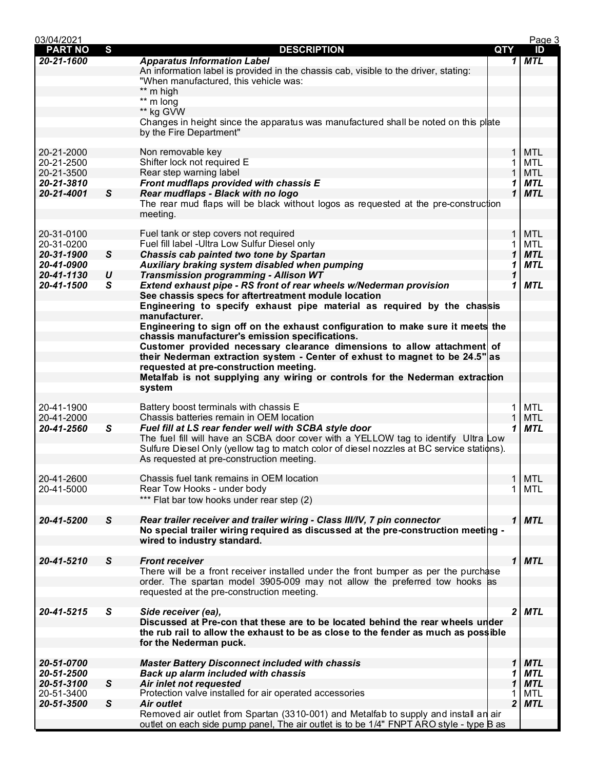| 03/04/2021     |              |                                                                                           |     |              | Page 3     |
|----------------|--------------|-------------------------------------------------------------------------------------------|-----|--------------|------------|
| <b>PART NO</b> | S            | <b>DESCRIPTION</b>                                                                        | QTY |              | ID         |
| 20-21-1600     |              | <b>Apparatus Information Label</b>                                                        |     | 1            | <b>MTL</b> |
|                |              | An information label is provided in the chassis cab, visible to the driver, stating:      |     |              |            |
|                |              | "When manufactured, this vehicle was:                                                     |     |              |            |
|                |              | ** m high                                                                                 |     |              |            |
|                |              | ** m long                                                                                 |     |              |            |
|                |              | ** kg GVW                                                                                 |     |              |            |
|                |              | Changes in height since the apparatus was manufactured shall be noted on this plate       |     |              |            |
|                |              | by the Fire Department"                                                                   |     |              |            |
|                |              |                                                                                           |     |              |            |
| 20-21-2000     |              | Non removable key                                                                         |     | $\mathbf 1$  | <b>MTL</b> |
| 20-21-2500     |              | Shifter lock not required E                                                               |     |              | <b>MTL</b> |
| 20-21-3500     |              | Rear step warning label                                                                   |     |              | <b>MTL</b> |
| 20-21-3810     |              | Front mudflaps provided with chassis E                                                    |     | 1            | <b>MTL</b> |
| 20-21-4001     | S            | Rear mudflaps - Black with no logo                                                        |     | $\mathbf 1$  | <b>MTL</b> |
|                |              | The rear mud flaps will be black without logos as requested at the pre-construction       |     |              |            |
|                |              | meeting.                                                                                  |     |              |            |
|                |              |                                                                                           |     |              |            |
| 20-31-0100     |              | Fuel tank or step covers not required                                                     |     | 1            | <b>MTL</b> |
| 20-31-0200     |              | Fuel fill label - Ultra Low Sulfur Diesel only                                            |     | 1            | <b>MTL</b> |
| 20-31-1900     | $\mathsf{s}$ | Chassis cab painted two tone by Spartan                                                   |     | 1            | <b>MTL</b> |
| 20-41-0900     |              | Auxiliary braking system disabled when pumping                                            |     | 1            | <b>MTL</b> |
| 20-41-1130     | U            | Transmission programming - Allison WT                                                     |     | 1            |            |
| 20-41-1500     | $\mathbf{s}$ | Extend exhaust pipe - RS front of rear wheels w/Nederman provision                        |     | 1            | <b>MTL</b> |
|                |              | See chassis specs for aftertreatment module location                                      |     |              |            |
|                |              | Engineering to specify exhaust pipe material as required by the chassis                   |     |              |            |
|                |              | manufacturer.                                                                             |     |              |            |
|                |              | Engineering to sign off on the exhaust configuration to make sure it meets the            |     |              |            |
|                |              | chassis manufacturer's emission specifications.                                           |     |              |            |
|                |              | Customer provided necessary clearance dimensions to allow attachment of                   |     |              |            |
|                |              | their Nederman extraction system - Center of exhust to magnet to be 24.5" as              |     |              |            |
|                |              | requested at pre-construction meeting.                                                    |     |              |            |
|                |              | Metalfab is not supplying any wiring or controls for the Nederman extraction              |     |              |            |
|                |              | system                                                                                    |     |              |            |
|                |              |                                                                                           |     |              |            |
| 20-41-1900     |              | Battery boost terminals with chassis E                                                    |     | 1            | <b>MTL</b> |
| 20-41-2000     |              | Chassis batteries remain in OEM location                                                  |     |              | <b>MTL</b> |
| 20-41-2560     | $\mathsf{s}$ | Fuel fill at LS rear fender well with SCBA style door                                     |     | 1            | <b>MTL</b> |
|                |              | The fuel fill will have an SCBA door cover with a YELLOW tag to identify Ultra Low        |     |              |            |
|                |              | Sulfure Diesel Only (yellow tag to match color of diesel nozzles at BC service stations). |     |              |            |
|                |              | As requested at pre-construction meeting.                                                 |     |              |            |
|                |              |                                                                                           |     |              |            |
| 20-41-2600     |              | Chassis fuel tank remains in OEM location                                                 |     |              | <b>MTL</b> |
| 20-41-5000     |              | Rear Tow Hooks - under body                                                               |     |              | <b>MTL</b> |
|                |              | *** Flat bar tow hooks under rear step (2)                                                |     |              |            |
|                |              |                                                                                           |     |              |            |
| 20-41-5200     | S            | Rear trailer receiver and trailer wiring - Class III/IV, 7 pin connector                  |     | $\mathbf{1}$ | <b>MTL</b> |
|                |              | No special trailer wiring required as discussed at the pre-construction meeting -         |     |              |            |
|                |              | wired to industry standard.                                                               |     |              |            |
|                |              |                                                                                           |     |              |            |
| 20-41-5210     | $\mathsf{s}$ | <b>Front receiver</b>                                                                     |     | $\mathbf{1}$ | <b>MTL</b> |
|                |              | There will be a front receiver installed under the front bumper as per the purchase       |     |              |            |
|                |              | order. The spartan model 3905-009 may not allow the preferred tow hooks as                |     |              |            |
|                |              | requested at the pre-construction meeting.                                                |     |              |            |
|                |              |                                                                                           |     |              |            |
| 20-41-5215     | S            | Side receiver (ea),                                                                       |     | 2            | <b>MTL</b> |
|                |              | Discussed at Pre-con that these are to be located behind the rear wheels under            |     |              |            |
|                |              | the rub rail to allow the exhaust to be as close to the fender as much as possible        |     |              |            |
|                |              | for the Nederman puck.                                                                    |     |              |            |
|                |              |                                                                                           |     |              |            |
| 20-51-0700     |              | <b>Master Battery Disconnect included with chassis</b>                                    |     | 1            | <b>MTL</b> |
| 20-51-2500     |              | <b>Back up alarm included with chassis</b>                                                |     | 1            | MTL        |
| 20-51-3100     | $\mathsf{s}$ | Air inlet not requested                                                                   |     | 1            | <b>MTL</b> |
| 20-51-3400     |              | Protection valve installed for air operated accessories                                   |     |              | <b>MTL</b> |
| 20-51-3500     | S            | <b>Air outlet</b>                                                                         |     | 2            | <b>MTL</b> |
|                |              | Removed air outlet from Spartan (3310-001) and Metalfab to supply and install an air      |     |              |            |
|                |              | outlet on each side pump panel, The air outlet is to be 1/4" FNPT ARO style - type B as   |     |              |            |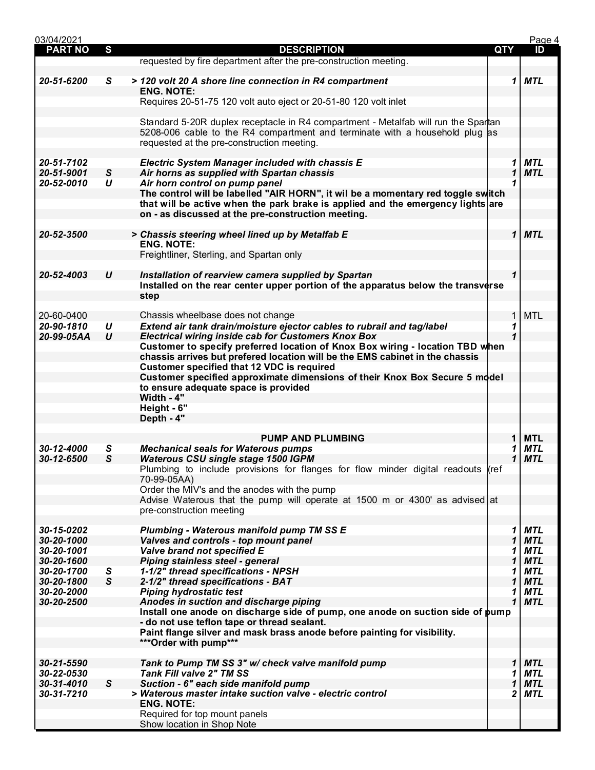| 03/04/2021     |                  |                                                                                                                                                                                                                           |             | Page 4     |
|----------------|------------------|---------------------------------------------------------------------------------------------------------------------------------------------------------------------------------------------------------------------------|-------------|------------|
| <b>PART NO</b> | S                | <b>DESCRIPTION</b>                                                                                                                                                                                                        | <b>QTY</b>  | ID         |
|                |                  | requested by fire department after the pre-construction meeting.                                                                                                                                                          |             |            |
| 20-51-6200     | S                | > 120 volt 20 A shore line connection in R4 compartment                                                                                                                                                                   | 1           | <b>MTL</b> |
|                |                  | <b>ENG. NOTE:</b><br>Requires 20-51-75 120 volt auto eject or 20-51-80 120 volt inlet                                                                                                                                     |             |            |
|                |                  |                                                                                                                                                                                                                           |             |            |
|                |                  | Standard 5-20R duplex receptacle in R4 compartment - Metalfab will run the Spartan<br>5208-006 cable to the R4 compartment and terminate with a household plug as<br>requested at the pre-construction meeting.           |             |            |
|                |                  |                                                                                                                                                                                                                           |             |            |
| 20-51-7102     |                  | <b>Electric System Manager included with chassis E</b>                                                                                                                                                                    | 1           | <b>MTL</b> |
| 20-51-9001     | $\mathsf{s}$     | Air horns as supplied with Spartan chassis                                                                                                                                                                                | 1           | <b>MTL</b> |
| 20-52-0010     | U                | Air horn control on pump panel                                                                                                                                                                                            |             |            |
|                |                  | The control will be labelled "AIR HORN", it wil be a momentary red toggle switch<br>that will be active when the park brake is applied and the emergency lights are<br>on - as discussed at the pre-construction meeting. |             |            |
| 20-52-3500     |                  | > Chassis steering wheel lined up by Metalfab E                                                                                                                                                                           | $\mathbf 1$ | <b>MTL</b> |
|                |                  | <b>ENG. NOTE:</b>                                                                                                                                                                                                         |             |            |
|                |                  | Freightliner, Sterling, and Spartan only                                                                                                                                                                                  |             |            |
|                |                  |                                                                                                                                                                                                                           |             |            |
| 20-52-4003     | $\boldsymbol{U}$ | Installation of rearview camera supplied by Spartan                                                                                                                                                                       | $\mathbf 1$ |            |
|                |                  | Installed on the rear center upper portion of the apparatus below the transverse                                                                                                                                          |             |            |
|                |                  | step                                                                                                                                                                                                                      |             |            |
|                |                  |                                                                                                                                                                                                                           |             |            |
| 20-60-0400     |                  | Chassis wheelbase does not change                                                                                                                                                                                         | 1           | <b>MTL</b> |
| 20-90-1810     | U                | Extend air tank drain/moisture ejector cables to rubrail and tag/label                                                                                                                                                    | 1           |            |
| 20-99-05AA     | $\boldsymbol{U}$ | <b>Electrical wiring inside cab for Customers Knox Box</b>                                                                                                                                                                |             |            |
|                |                  | Customer to specify preferred location of Knox Box wiring - location TBD when                                                                                                                                             |             |            |
|                |                  | chassis arrives but prefered location will be the EMS cabinet in the chassis                                                                                                                                              |             |            |
|                |                  | Customer specified that 12 VDC is required                                                                                                                                                                                |             |            |
|                |                  | Customer specified approximate dimensions of their Knox Box Secure 5 model                                                                                                                                                |             |            |
|                |                  | to ensure adequate space is provided                                                                                                                                                                                      |             |            |
|                |                  | Width - 4"                                                                                                                                                                                                                |             |            |
|                |                  | Height - 6"                                                                                                                                                                                                               |             |            |
|                |                  | Depth - 4"                                                                                                                                                                                                                |             |            |
|                |                  | <b>PUMP AND PLUMBING</b>                                                                                                                                                                                                  | 1           | <b>MTL</b> |
| 30-12-4000     | S                | <b>Mechanical seals for Waterous pumps</b>                                                                                                                                                                                | 1           | <b>MTL</b> |
| 30-12-6500     | S                | <b>Waterous CSU single stage 1500 IGPM</b>                                                                                                                                                                                | 1           | <b>MTL</b> |
|                |                  | Plumbing to include provisions for flanges for flow minder digital readouts (ref                                                                                                                                          |             |            |
|                |                  | 70-99-05AA)                                                                                                                                                                                                               |             |            |
|                |                  | Order the MIV's and the anodes with the pump                                                                                                                                                                              |             |            |
|                |                  | Advise Waterous that the pump will operate at 1500 m or 4300' as advised at                                                                                                                                               |             |            |
|                |                  | pre-construction meeting                                                                                                                                                                                                  |             |            |
|                |                  |                                                                                                                                                                                                                           |             |            |
| 30-15-0202     |                  | <b>Plumbing - Waterous manifold pump TM SS E</b>                                                                                                                                                                          | 1           | <b>MTL</b> |
| 30-20-1000     |                  | Valves and controls - top mount panel                                                                                                                                                                                     | 1           | <b>MTL</b> |
| 30-20-1001     |                  | Valve brand not specified E                                                                                                                                                                                               | 1           | MTL        |
| 30-20-1600     |                  | Piping stainless steel - general                                                                                                                                                                                          | 1           | <b>MTL</b> |
| 30-20-1700     | S                | 1-1/2" thread specifications - NPSH                                                                                                                                                                                       | 1           | <b>MTL</b> |
| 30-20-1800     | $\mathsf{s}$     | 2-1/2" thread specifications - BAT                                                                                                                                                                                        | 1           | <b>MTL</b> |
| 30-20-2000     |                  | <b>Piping hydrostatic test</b>                                                                                                                                                                                            | 1           | <b>MTL</b> |
| 30-20-2500     |                  | Anodes in suction and discharge piping                                                                                                                                                                                    | 1           | <b>MTL</b> |
|                |                  | Install one anode on discharge side of pump, one anode on suction side of pump                                                                                                                                            |             |            |
|                |                  | - do not use teflon tape or thread sealant.                                                                                                                                                                               |             |            |
|                |                  | Paint flange silver and mask brass anode before painting for visibility.<br>*** Order with pump***                                                                                                                        |             |            |
|                |                  |                                                                                                                                                                                                                           |             |            |
| 30-21-5590     |                  | Tank to Pump TM SS 3" w/ check valve manifold pump                                                                                                                                                                        | 1           | <b>MTL</b> |
| 30-22-0530     |                  | <b>Tank Fill valve 2" TM SS</b>                                                                                                                                                                                           | 1           | <b>MTL</b> |
| 30-31-4010     | S                | Suction - 6" each side manifold pump                                                                                                                                                                                      | 1           | <b>MTL</b> |
| 30-31-7210     |                  | > Waterous master intake suction valve - electric control                                                                                                                                                                 | 2           | <b>MTL</b> |
|                |                  | <b>ENG. NOTE:</b>                                                                                                                                                                                                         |             |            |
|                |                  | Required for top mount panels                                                                                                                                                                                             |             |            |
|                |                  | Show location in Shop Note                                                                                                                                                                                                |             |            |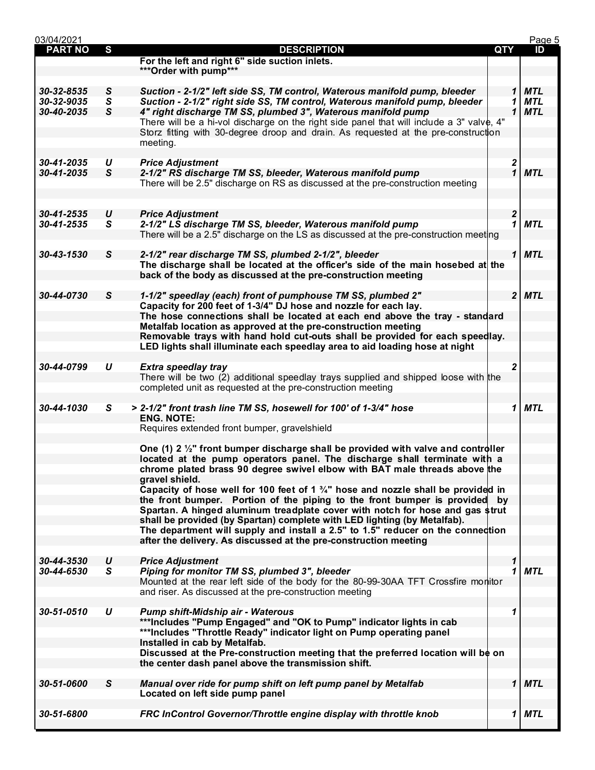| 03/04/2021     |                   |                                                                                              |            |                   | Page 5     |
|----------------|-------------------|----------------------------------------------------------------------------------------------|------------|-------------------|------------|
| <b>PART NO</b> | S                 | <b>DESCRIPTION</b>                                                                           | <b>QTY</b> |                   | ID         |
|                |                   | For the left and right 6" side suction inlets.                                               |            |                   |            |
|                |                   | *** Order with pump***                                                                       |            |                   |            |
|                |                   |                                                                                              |            |                   |            |
| 30-32-8535     | S                 | Suction - 2-1/2" left side SS, TM control, Waterous manifold pump, bleeder                   |            | 1                 | <b>MTL</b> |
| 30-32-9035     | S                 | Suction - 2-1/2" right side SS, TM control, Waterous manifold pump, bleeder                  |            | 1                 | <b>MTL</b> |
| 30-40-2035     | S                 | 4" right discharge TM SS, plumbed 3", Waterous manifold pump                                 |            | 1                 | <b>MTL</b> |
|                |                   | There will be a hi-vol discharge on the right side panel that will include a 3" valve, 4"    |            |                   |            |
|                |                   | Storz fitting with 30-degree droop and drain. As requested at the pre-construction           |            |                   |            |
|                |                   | meeting.                                                                                     |            |                   |            |
| 30-41-2035     |                   |                                                                                              |            |                   |            |
| 30-41-2035     | U<br>$\mathsf{s}$ | <b>Price Adjustment</b><br>2-1/2" RS discharge TM SS, bleeder, Waterous manifold pump        |            | 2<br>$\mathbf{1}$ | <b>MTL</b> |
|                |                   | There will be 2.5" discharge on RS as discussed at the pre-construction meeting              |            |                   |            |
|                |                   |                                                                                              |            |                   |            |
|                |                   |                                                                                              |            |                   |            |
| 30-41-2535     | U                 | <b>Price Adjustment</b>                                                                      |            | $\boldsymbol{2}$  |            |
| 30-41-2535     | $\mathsf{s}$      | 2-1/2" LS discharge TM SS, bleeder, Waterous manifold pump                                   |            | 1                 | <b>MTL</b> |
|                |                   | There will be a 2.5" discharge on the LS as discussed at the pre-construction meeting        |            |                   |            |
|                |                   |                                                                                              |            |                   |            |
| 30-43-1530     | $\mathsf{s}$      | 2-1/2" rear discharge TM SS, plumbed 2-1/2", bleeder                                         |            | 1                 | <b>MTL</b> |
|                |                   | The discharge shall be located at the officer's side of the main hosebed at the              |            |                   |            |
|                |                   | back of the body as discussed at the pre-construction meeting                                |            |                   |            |
|                |                   |                                                                                              |            |                   |            |
| 30-44-0730     | $\mathsf{s}$      | 1-1/2" speedlay (each) front of pumphouse TM SS, plumbed 2"                                  |            | $\overline{2}$    | <b>MTL</b> |
|                |                   | Capacity for 200 feet of 1-3/4" DJ hose and nozzle for each lay.                             |            |                   |            |
|                |                   | The hose connections shall be located at each end above the tray - standard                  |            |                   |            |
|                |                   | Metalfab location as approved at the pre-construction meeting                                |            |                   |            |
|                |                   | Removable trays with hand hold cut-outs shall be provided for each speedlay.                 |            |                   |            |
|                |                   | LED lights shall illuminate each speedlay area to aid loading hose at night                  |            |                   |            |
|                |                   |                                                                                              |            |                   |            |
| 30-44-0799     | U                 | <b>Extra speedlay tray</b>                                                                   |            | 2                 |            |
|                |                   | There will be two (2) additional speedlay trays supplied and shipped loose with the          |            |                   |            |
|                |                   | completed unit as requested at the pre-construction meeting                                  |            |                   |            |
|                |                   |                                                                                              |            |                   |            |
| 30-44-1030     | S                 | > 2-1/2" front trash line TM SS, hosewell for 100' of 1-3/4" hose                            |            | 1                 | <b>MTL</b> |
|                |                   | <b>ENG. NOTE:</b>                                                                            |            |                   |            |
|                |                   | Requires extended front bumper, gravelshield                                                 |            |                   |            |
|                |                   |                                                                                              |            |                   |            |
|                |                   | One (1) 2 1/2" front bumper discharge shall be provided with valve and controller            |            |                   |            |
|                |                   | located at the pump operators panel. The discharge shall terminate with a                    |            |                   |            |
|                |                   | chrome plated brass 90 degree swivel elbow with BAT male threads above the                   |            |                   |            |
|                |                   | gravel shield.                                                                               |            |                   |            |
|                |                   | Capacity of hose well for 100 feet of 1 $\frac{3}{4}$ " hose and nozzle shall be provided in |            |                   |            |
|                |                   | the front bumper. Portion of the piping to the front bumper is provided by                   |            |                   |            |
|                |                   | Spartan. A hinged aluminum treadplate cover with notch for hose and gas \$trut               |            |                   |            |
|                |                   | shall be provided (by Spartan) complete with LED lighting (by Metalfab).                     |            |                   |            |
|                |                   | The department will supply and install a 2.5" to 1.5" reducer on the connection              |            |                   |            |
|                |                   | after the delivery. As discussed at the pre-construction meeting                             |            |                   |            |
|                |                   |                                                                                              |            |                   |            |
| 30-44-3530     | $\boldsymbol{U}$  | <b>Price Adjustment</b>                                                                      |            | 1                 |            |
| 30-44-6530     | S                 | Piping for monitor TM SS, plumbed 3", bleeder                                                |            | 1                 | <b>MTL</b> |
|                |                   | Mounted at the rear left side of the body for the 80-99-30AA TFT Crossfire monitor           |            |                   |            |
|                |                   | and riser. As discussed at the pre-construction meeting                                      |            |                   |            |
|                |                   |                                                                                              |            |                   |            |
| 30-51-0510     | U                 | <b>Pump shift-Midship air - Waterous</b>                                                     |            | 1                 |            |
|                |                   | ***Includes "Pump Engaged" and "OK to Pump" indicator lights in cab                          |            |                   |            |
|                |                   | ***Includes "Throttle Ready" indicator light on Pump operating panel                         |            |                   |            |
|                |                   | Installed in cab by Metalfab.                                                                |            |                   |            |
|                |                   | Discussed at the Pre-construction meeting that the preferred location will be on             |            |                   |            |
|                |                   | the center dash panel above the transmission shift.                                          |            |                   |            |
|                |                   |                                                                                              |            |                   |            |
| 30-51-0600     | S                 | Manual over ride for pump shift on left pump panel by Metalfab                               |            | 1                 | <b>MTL</b> |
|                |                   | Located on left side pump panel                                                              |            |                   |            |
|                |                   |                                                                                              |            |                   |            |
| 30-51-6800     |                   | FRC InControl Governor/Throttle engine display with throttle knob                            |            | 1                 | MTL        |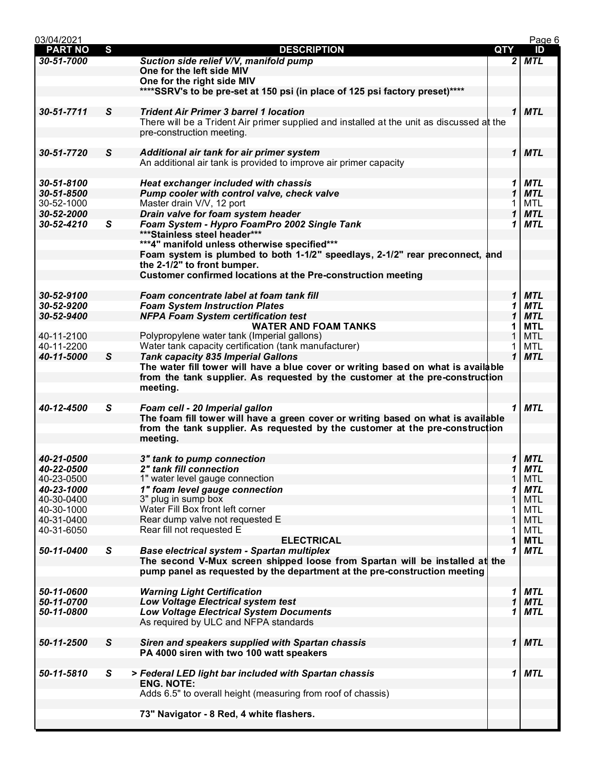| 03/04/2021     |              |                                                                                           |     |              | Page 6     |
|----------------|--------------|-------------------------------------------------------------------------------------------|-----|--------------|------------|
| <b>PART NO</b> | S            | <b>DESCRIPTION</b>                                                                        | QTY |              | ID         |
| 30-51-7000     |              | Suction side relief V/V, manifold pump                                                    |     |              | $2$ MTL    |
|                |              | One for the left side MIV                                                                 |     |              |            |
|                |              | One for the right side MIV                                                                |     |              |            |
|                |              | ****SSRV's to be pre-set at 150 psi (in place of 125 psi factory preset)****              |     |              |            |
|                |              |                                                                                           |     |              |            |
| 30-51-7711     | S            | <b>Trident Air Primer 3 barrel 1 location</b>                                             |     |              | 1 MTL      |
|                |              |                                                                                           |     |              |            |
|                |              | There will be a Trident Air primer supplied and installed at the unit as discussed at the |     |              |            |
|                |              | pre-construction meeting.                                                                 |     |              |            |
|                |              |                                                                                           |     |              |            |
| 30-51-7720     | S            | Additional air tank for air primer system                                                 |     |              | $1$ MTL    |
|                |              | An additional air tank is provided to improve air primer capacity                         |     |              |            |
|                |              |                                                                                           |     |              |            |
| 30-51-8100     |              | Heat exchanger included with chassis                                                      |     | 1            | <b>MTL</b> |
| 30-51-8500     |              | Pump cooler with control valve, check valve                                               |     | 1            | <b>MTL</b> |
| 30-52-1000     |              | Master drain V/V, 12 port                                                                 |     | 1            | MTL        |
|                |              |                                                                                           |     |              |            |
| 30-52-2000     |              | Drain valve for foam system header                                                        |     | 1            | <b>MTL</b> |
| 30-52-4210     | $\mathsf{s}$ | Foam System - Hypro FoamPro 2002 Single Tank                                              |     | 1            | <b>MTL</b> |
|                |              | ***Stainless steel header***                                                              |     |              |            |
|                |              | ***4" manifold unless otherwise specified***                                              |     |              |            |
|                |              | Foam system is plumbed to both 1-1/2" speedlays, 2-1/2" rear preconnect, and              |     |              |            |
|                |              | the 2-1/2" to front bumper.                                                               |     |              |            |
|                |              | <b>Customer confirmed locations at the Pre-construction meeting</b>                       |     |              |            |
|                |              |                                                                                           |     |              |            |
| 30-52-9100     |              | Foam concentrate label at foam tank fill                                                  |     | $\mathbf 1$  | <b>MTL</b> |
| 30-52-9200     |              | <b>Foam System Instruction Plates</b>                                                     |     |              | <b>MTL</b> |
|                |              |                                                                                           |     | 1            |            |
| 30-52-9400     |              | <b>NFPA Foam System certification test</b>                                                |     | 1            | <b>MTL</b> |
|                |              | <b>WATER AND FOAM TANKS</b>                                                               |     | 1            | <b>MTL</b> |
| 40-11-2100     |              | Polypropylene water tank (Imperial gallons)                                               |     | 1            | <b>MTL</b> |
| 40-11-2200     |              | Water tank capacity certification (tank manufacturer)                                     |     | 1            | <b>MTL</b> |
| 40-11-5000     | S            | <b>Tank capacity 835 Imperial Gallons</b>                                                 |     | $\mathbf{1}$ | <b>MTL</b> |
|                |              | The water fill tower will have a blue cover or writing based on what is available         |     |              |            |
|                |              | from the tank supplier. As requested by the customer at the pre-construction              |     |              |            |
|                |              | meeting.                                                                                  |     |              |            |
|                |              |                                                                                           |     |              |            |
|                |              |                                                                                           |     |              |            |
| 40-12-4500     | S            | Foam cell - 20 Imperial gallon                                                            |     |              | $1$ MTL    |
|                |              | The foam fill tower will have a green cover or writing based on what is available         |     |              |            |
|                |              | from the tank supplier. As requested by the customer at the pre-construction              |     |              |            |
|                |              | meeting.                                                                                  |     |              |            |
|                |              |                                                                                           |     |              |            |
| 40-21-0500     |              | 3" tank to pump connection                                                                |     | 1            | MTL        |
| 40-22-0500     |              | 2" tank fill connection                                                                   |     | 1            | MTL        |
| 40-23-0500     |              | 1" water level gauge connection                                                           |     | 1            | <b>MTL</b> |
| 40-23-1000     |              | 1" foam level gauge connection                                                            |     |              | <b>MTL</b> |
| 40-30-0400     |              | 3" plug in sump box                                                                       |     |              | <b>MTL</b> |
|                |              |                                                                                           |     |              |            |
| 40-30-1000     |              | Water Fill Box front left corner                                                          |     |              | MTL        |
| 40-31-0400     |              | Rear dump valve not requested E                                                           |     | 1            | <b>MTL</b> |
| 40-31-6050     |              | Rear fill not requested E                                                                 |     | 1            | <b>MTL</b> |
|                |              | <b>ELECTRICAL</b>                                                                         |     | 1            | <b>MTL</b> |
| 50-11-0400     | $\mathsf{s}$ | Base electrical system - Spartan multiplex                                                |     | 1            | <b>MTL</b> |
|                |              | The second V-Mux screen shipped loose from Spartan will be installed at the               |     |              |            |
|                |              | pump panel as requested by the department at the pre-construction meeting                 |     |              |            |
|                |              |                                                                                           |     |              |            |
| 50-11-0600     |              | <b>Warning Light Certification</b>                                                        |     | 1            | <b>MTL</b> |
| 50-11-0700     |              | <b>Low Voltage Electrical system test</b>                                                 |     | 1            | <b>MTL</b> |
|                |              |                                                                                           |     |              |            |
| 50-11-0800     |              | <b>Low Voltage Electrical System Documents</b>                                            |     | 1            | <b>MTL</b> |
|                |              | As required by ULC and NFPA standards                                                     |     |              |            |
|                |              |                                                                                           |     |              |            |
| 50-11-2500     | $\mathsf{s}$ | Siren and speakers supplied with Spartan chassis                                          |     |              | $1$ MTL    |
|                |              | PA 4000 siren with two 100 watt speakers                                                  |     |              |            |
|                |              |                                                                                           |     |              |            |
| 50-11-5810     | S            | > Federal LED light bar included with Spartan chassis                                     |     | 1            | <b>MTL</b> |
|                |              | <b>ENG. NOTE:</b>                                                                         |     |              |            |
|                |              | Adds 6.5" to overall height (measuring from roof of chassis)                              |     |              |            |
|                |              |                                                                                           |     |              |            |
|                |              |                                                                                           |     |              |            |
|                |              | 73" Navigator - 8 Red, 4 white flashers.                                                  |     |              |            |
|                |              |                                                                                           |     |              |            |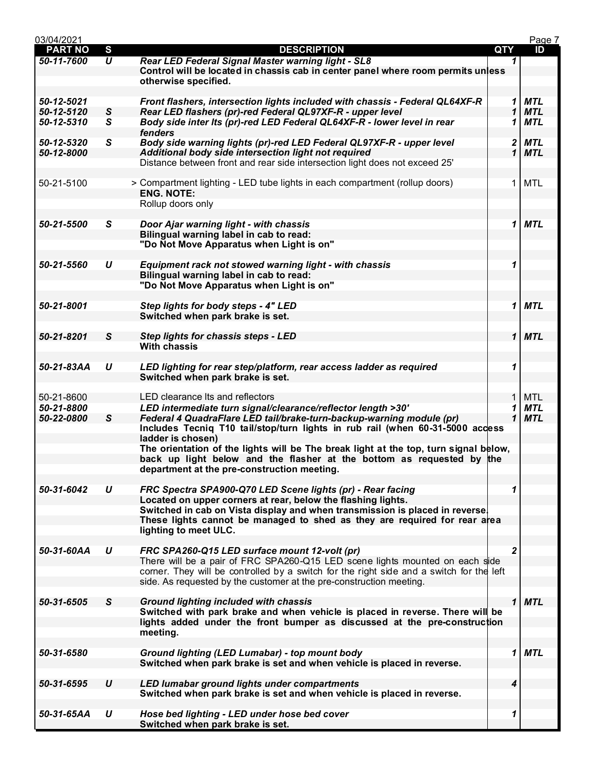| 03/04/2021     |                     |                                                                                                                                                           |              | Page 7     |
|----------------|---------------------|-----------------------------------------------------------------------------------------------------------------------------------------------------------|--------------|------------|
| <b>PART NO</b> | S                   | <b>DESCRIPTION</b>                                                                                                                                        | <b>QTY</b>   | ID         |
| 50-11-7600     | $\overline{\bm{U}}$ | Rear LED Federal Signal Master warning light - SL8                                                                                                        | 1            |            |
|                |                     | Control will be located in chassis cab in center panel where room permits unless                                                                          |              |            |
|                |                     | otherwise specified.                                                                                                                                      |              |            |
|                |                     |                                                                                                                                                           |              |            |
| 50-12-5021     |                     | Front flashers, intersection lights included with chassis - Federal QL64XF-R                                                                              | 1            | <b>MTL</b> |
| 50-12-5120     |                     | Rear LED flashers (pr)-red Federal QL97XF-R - upper level                                                                                                 | 1            | <b>MTL</b> |
|                | S                   |                                                                                                                                                           |              |            |
| 50-12-5310     | S                   | Body side inter Its (pr)-red LED Federal QL64XF-R - lower level in rear                                                                                   | 1            | <b>MTL</b> |
|                |                     | fenders                                                                                                                                                   |              |            |
| 50-12-5320     | S                   | Body side warning lights (pr)-red LED Federal QL97XF-R - upper level                                                                                      | 2            | <b>MTL</b> |
| 50-12-8000     |                     | Additional body side intersection light not required                                                                                                      | 1            | <b>MTL</b> |
|                |                     | Distance between front and rear side intersection light does not exceed 25'                                                                               |              |            |
|                |                     |                                                                                                                                                           |              |            |
| 50-21-5100     |                     | > Compartment lighting - LED tube lights in each compartment (rollup doors)                                                                               | 1            | <b>MTL</b> |
|                |                     | <b>ENG. NOTE:</b>                                                                                                                                         |              |            |
|                |                     | Rollup doors only                                                                                                                                         |              |            |
|                |                     |                                                                                                                                                           |              |            |
| 50-21-5500     | S                   | Door Ajar warning light - with chassis                                                                                                                    | 1            | <b>MTL</b> |
|                |                     | Bilingual warning label in cab to read:                                                                                                                   |              |            |
|                |                     | "Do Not Move Apparatus when Light is on"                                                                                                                  |              |            |
|                |                     |                                                                                                                                                           |              |            |
| 50-21-5560     | U                   | Equipment rack not stowed warning light - with chassis                                                                                                    | 1            |            |
|                |                     | Bilingual warning label in cab to read:                                                                                                                   |              |            |
|                |                     | "Do Not Move Apparatus when Light is on"                                                                                                                  |              |            |
|                |                     |                                                                                                                                                           |              |            |
| 50-21-8001     |                     |                                                                                                                                                           |              |            |
|                |                     | Step lights for body steps - 4" LED                                                                                                                       | 1            | <b>MTL</b> |
|                |                     | Switched when park brake is set.                                                                                                                          |              |            |
|                |                     |                                                                                                                                                           |              |            |
| 50-21-8201     | S                   | Step lights for chassis steps - LED                                                                                                                       | $\mathbf 1$  | <b>MTL</b> |
|                |                     | <b>With chassis</b>                                                                                                                                       |              |            |
|                |                     |                                                                                                                                                           |              |            |
| 50-21-83AA     | U                   | LED lighting for rear step/platform, rear access ladder as required                                                                                       | 1            |            |
|                |                     | Switched when park brake is set.                                                                                                                          |              |            |
|                |                     |                                                                                                                                                           |              |            |
| 50-21-8600     |                     | LED clearance its and reflectors                                                                                                                          | 1            | <b>MTL</b> |
| 50-21-8800     |                     | LED intermediate turn signal/clearance/reflector length >30'                                                                                              | 1            | <b>MTL</b> |
| 50-22-0800     | ${\mathsf S}$       | Federal 4 QuadraFlare LED tail/brake-turn-backup-warning module (pr)                                                                                      | 1            | <b>MTL</b> |
|                |                     | Includes Tecniq T10 tail/stop/turn lights in rub rail (when 60-31-5000 access                                                                             |              |            |
|                |                     | ladder is chosen)                                                                                                                                         |              |            |
|                |                     | The orientation of the lights will be The break light at the top, turn signal below,                                                                      |              |            |
|                |                     | back up light below and the flasher at the bottom as requested by the                                                                                     |              |            |
|                |                     | department at the pre-construction meeting.                                                                                                               |              |            |
|                |                     |                                                                                                                                                           |              |            |
| 50-31-6042     | U                   | FRC Spectra SPA900-Q70 LED Scene lights (pr) - Rear facing                                                                                                | 1            |            |
|                |                     | Located on upper corners at rear, below the flashing lights.                                                                                              |              |            |
|                |                     |                                                                                                                                                           |              |            |
|                |                     | Switched in cab on Vista display and when transmission is placed in reverse.<br>These lights cannot be managed to shed as they are required for rear area |              |            |
|                |                     |                                                                                                                                                           |              |            |
|                |                     | lighting to meet ULC.                                                                                                                                     |              |            |
|                |                     |                                                                                                                                                           |              |            |
| 50-31-60AA     | U                   | FRC SPA260-Q15 LED surface mount 12-volt (pr)                                                                                                             | $\mathbf{2}$ |            |
|                |                     | There will be a pair of FRC SPA260-Q15 LED scene lights mounted on each side                                                                              |              |            |
|                |                     | corner. They will be controlled by a switch for the right side and a switch for the left                                                                  |              |            |
|                |                     | side. As requested by the customer at the pre-construction meeting.                                                                                       |              |            |
|                |                     |                                                                                                                                                           |              |            |
| 50-31-6505     | S                   | <b>Ground lighting included with chassis</b>                                                                                                              | 1            | <b>MTL</b> |
|                |                     | Switched with park brake and when vehicle is placed in reverse. There will be                                                                             |              |            |
|                |                     | lights added under the front bumper as discussed at the pre-construction                                                                                  |              |            |
|                |                     | meeting.                                                                                                                                                  |              |            |
|                |                     |                                                                                                                                                           |              |            |
| 50-31-6580     |                     | Ground lighting (LED Lumabar) - top mount body                                                                                                            | 1            | <b>MTL</b> |
|                |                     | Switched when park brake is set and when vehicle is placed in reverse.                                                                                    |              |            |
|                |                     |                                                                                                                                                           |              |            |
| 50-31-6595     | U                   | LED lumabar ground lights under compartments                                                                                                              | 4            |            |
|                |                     | Switched when park brake is set and when vehicle is placed in reverse.                                                                                    |              |            |
|                |                     |                                                                                                                                                           |              |            |
| 50-31-65AA     | U                   | Hose bed lighting - LED under hose bed cover                                                                                                              | 1            |            |
|                |                     | Switched when park brake is set.                                                                                                                          |              |            |
|                |                     |                                                                                                                                                           |              |            |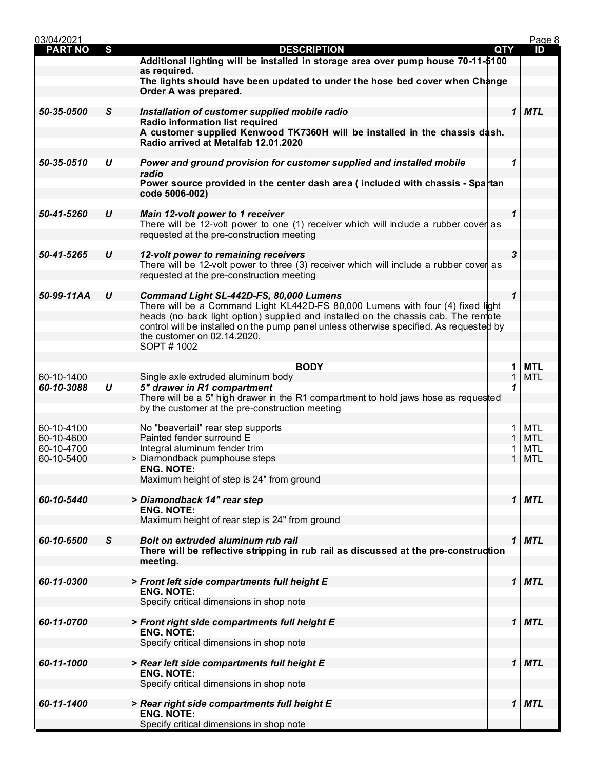| 03/04/2021     |                  |                                                                                                                                        |            |              | Page 8     |
|----------------|------------------|----------------------------------------------------------------------------------------------------------------------------------------|------------|--------------|------------|
| <b>PART NO</b> | S                | <b>DESCRIPTION</b>                                                                                                                     | <b>QTY</b> |              | ID         |
|                |                  | Additional lighting will be installed in storage area over pump house 70-11-\$100                                                      |            |              |            |
|                |                  | as required.<br>The lights should have been updated to under the hose bed cover when Change                                            |            |              |            |
|                |                  | Order A was prepared.                                                                                                                  |            |              |            |
|                |                  |                                                                                                                                        |            |              |            |
| 50-35-0500     | S                | Installation of customer supplied mobile radio                                                                                         |            | 1            | <b>MTL</b> |
|                |                  | Radio information list required                                                                                                        |            |              |            |
|                |                  | A customer supplied Kenwood TK7360H will be installed in the chassis dash.<br>Radio arrived at Metalfab 12.01.2020                     |            |              |            |
|                |                  |                                                                                                                                        |            |              |            |
| 50-35-0510     | U                | Power and ground provision for customer supplied and installed mobile                                                                  |            | 1            |            |
|                |                  | radio                                                                                                                                  |            |              |            |
|                |                  | Power source provided in the center dash area (included with chassis - Spartan                                                         |            |              |            |
|                |                  | code 5006-002)                                                                                                                         |            |              |            |
| 50-41-5260     | U                | Main 12-volt power to 1 receiver                                                                                                       |            | 1            |            |
|                |                  | There will be 12-volt power to one (1) receiver which will include a rubber cover as                                                   |            |              |            |
|                |                  | requested at the pre-construction meeting                                                                                              |            |              |            |
|                |                  |                                                                                                                                        |            |              |            |
| 50-41-5265     | U                | 12-volt power to remaining receivers                                                                                                   |            | 3            |            |
|                |                  | There will be 12-volt power to three (3) receiver which will include a rubber cover as<br>requested at the pre-construction meeting    |            |              |            |
|                |                  |                                                                                                                                        |            |              |            |
| 50-99-11AA     | $\boldsymbol{U}$ | Command Light SL-442D-FS, 80,000 Lumens                                                                                                |            | $\mathbf 1$  |            |
|                |                  | There will be a Command Light KL442D-FS 80,000 Lumens with four (4) fixed light                                                        |            |              |            |
|                |                  | heads (no back light option) supplied and installed on the chassis cab. The remote                                                     |            |              |            |
|                |                  | control will be installed on the pump panel unless otherwise specified. As requested by                                                |            |              |            |
|                |                  | the customer on 02.14.2020.<br>SOPT#1002                                                                                               |            |              |            |
|                |                  |                                                                                                                                        |            |              |            |
|                |                  | <b>BODY</b>                                                                                                                            |            | 1            | <b>MTL</b> |
| 60-10-1400     |                  | Single axle extruded aluminum body                                                                                                     |            | 1            | <b>MTL</b> |
| 60-10-3088     | U                | 5" drawer in R1 compartment                                                                                                            |            | 1            |            |
|                |                  | There will be a 5" high drawer in the R1 compartment to hold jaws hose as requested<br>by the customer at the pre-construction meeting |            |              |            |
|                |                  |                                                                                                                                        |            |              |            |
| 60-10-4100     |                  | No "beavertail" rear step supports                                                                                                     |            | 1            | <b>MTL</b> |
| 60-10-4600     |                  | Painted fender surround E                                                                                                              |            | 1            | <b>MTL</b> |
| 60-10-4700     |                  | Integral aluminum fender trim                                                                                                          |            |              | MTL        |
| 60-10-5400     |                  | > Diamondback pumphouse steps<br><b>ENG. NOTE:</b>                                                                                     |            | 1            | <b>MTL</b> |
|                |                  | Maximum height of step is 24" from ground                                                                                              |            |              |            |
|                |                  |                                                                                                                                        |            |              |            |
| 60-10-5440     |                  | > Diamondback 14" rear step                                                                                                            |            | 1            | <b>MTL</b> |
|                |                  | <b>ENG. NOTE:</b>                                                                                                                      |            |              |            |
|                |                  | Maximum height of rear step is 24" from ground                                                                                         |            |              |            |
| 60-10-6500     | S                | Bolt on extruded aluminum rub rail                                                                                                     |            | $\mathbf 1$  | <b>MTL</b> |
|                |                  | There will be reflective stripping in rub rail as discussed at the pre-construction                                                    |            |              |            |
|                |                  | meeting.                                                                                                                               |            |              |            |
|                |                  |                                                                                                                                        |            |              |            |
| 60-11-0300     |                  | > Front left side compartments full height E<br><b>ENG. NOTE:</b>                                                                      |            | $\mathbf{1}$ | <b>MTL</b> |
|                |                  | Specify critical dimensions in shop note                                                                                               |            |              |            |
|                |                  |                                                                                                                                        |            |              |            |
| 60-11-0700     |                  | > Front right side compartments full height E                                                                                          |            | $\mathbf{1}$ | <b>MTL</b> |
|                |                  | <b>ENG. NOTE:</b>                                                                                                                      |            |              |            |
|                |                  | Specify critical dimensions in shop note                                                                                               |            |              |            |
| 60-11-1000     |                  | > Rear left side compartments full height E                                                                                            |            | $\mathbf{1}$ | <b>MTL</b> |
|                |                  | <b>ENG. NOTE:</b>                                                                                                                      |            |              |            |
|                |                  | Specify critical dimensions in shop note                                                                                               |            |              |            |
|                |                  |                                                                                                                                        |            |              |            |
| 60-11-1400     |                  | > Rear right side compartments full height E                                                                                           |            | 1            | <b>MTL</b> |
|                |                  | <b>ENG. NOTE:</b>                                                                                                                      |            |              |            |
|                |                  | Specify critical dimensions in shop note                                                                                               |            |              |            |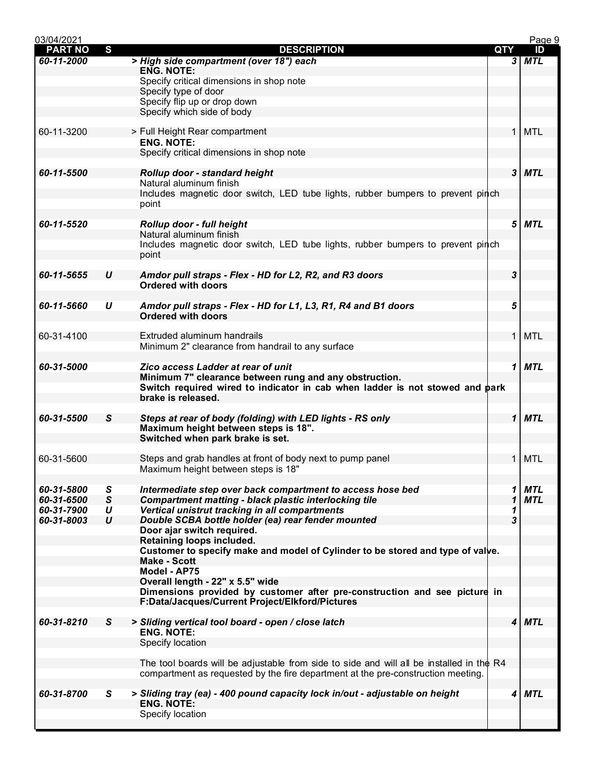| 03/04/2021     |              |                                                                                                    |                         | Page 9     |
|----------------|--------------|----------------------------------------------------------------------------------------------------|-------------------------|------------|
| <b>PART NO</b> | S            | <b>DESCRIPTION</b>                                                                                 | QTY                     | ID         |
| 60-11-2000     |              | > High side compartment (over 18") each                                                            | 3                       | MTL        |
|                |              | <b>ENG. NOTE:</b>                                                                                  |                         |            |
|                |              | Specify critical dimensions in shop note                                                           |                         |            |
|                |              | Specify type of door<br>Specify flip up or drop down                                               |                         |            |
|                |              | Specify which side of body                                                                         |                         |            |
|                |              |                                                                                                    |                         |            |
| 60-11-3200     |              | > Full Height Rear compartment                                                                     | $\mathbf{1}$            | <b>MTL</b> |
|                |              | <b>ENG. NOTE:</b>                                                                                  |                         |            |
|                |              | Specify critical dimensions in shop note                                                           |                         |            |
|                |              |                                                                                                    |                         |            |
| 60-11-5500     |              | Rollup door - standard height                                                                      |                         | $3$ MTL    |
|                |              | Natural aluminum finish                                                                            |                         |            |
|                |              | Includes magnetic door switch, LED tube lights, rubber bumpers to prevent pinch                    |                         |            |
|                |              | point                                                                                              |                         |            |
|                |              |                                                                                                    |                         |            |
| 60-11-5520     |              | Rollup door - full height<br>Natural aluminum finish                                               | 5                       | <b>MTL</b> |
|                |              | Includes magnetic door switch, LED tube lights, rubber bumpers to prevent pinch                    |                         |            |
|                |              | point                                                                                              |                         |            |
|                |              |                                                                                                    |                         |            |
| 60-11-5655     | U            | Amdor pull straps - Flex - HD for L2, R2, and R3 doors                                             | $\boldsymbol{3}$        |            |
|                |              | <b>Ordered with doors</b>                                                                          |                         |            |
|                |              |                                                                                                    |                         |            |
| 60-11-5660     | U            | Amdor pull straps - Flex - HD for L1, L3, R1, R4 and B1 doors                                      | 5                       |            |
|                |              | <b>Ordered with doors</b>                                                                          |                         |            |
|                |              |                                                                                                    |                         |            |
| 60-31-4100     |              | Extruded aluminum handrails                                                                        | $\mathbf{1}$            | <b>MTL</b> |
|                |              | Minimum 2" clearance from handrail to any surface                                                  |                         |            |
|                |              |                                                                                                    |                         |            |
| 60-31-5000     |              | Zico access Ladder at rear of unit                                                                 | 1                       | <b>MTL</b> |
|                |              | Minimum 7" clearance between rung and any obstruction.                                             |                         |            |
|                |              | Switch required wired to indicator in cab when ladder is not stowed and park<br>brake is released. |                         |            |
|                |              |                                                                                                    |                         |            |
| 60-31-5500     | S            | Steps at rear of body (folding) with LED lights - RS only                                          | $\mathbf 1$             | <b>MTL</b> |
|                |              | Maximum height between steps is 18".                                                               |                         |            |
|                |              | Switched when park brake is set.                                                                   |                         |            |
|                |              |                                                                                                    |                         |            |
| 60-31-5600     |              | Steps and grab handles at front of body next to pump panel                                         | $\mathbf{1}$            | <b>MTL</b> |
|                |              | Maximum height between steps is 18"                                                                |                         |            |
|                |              |                                                                                                    |                         |            |
| 60-31-5800     | S            | Intermediate step over back compartment to access hose bed                                         | 1                       | <b>MTL</b> |
| 60-31-6500     | $\mathsf{s}$ | <b>Compartment matting - black plastic interlocking tile</b>                                       | 1                       | <b>MTL</b> |
| 60-31-7900     | U            | Vertical unistrut tracking in all compartments                                                     | 1                       |            |
| 60-31-8003     | U            | Double SCBA bottle holder (ea) rear fender mounted                                                 | 3                       |            |
|                |              | Door ajar switch required.                                                                         |                         |            |
|                |              | Retaining loops included.                                                                          |                         |            |
|                |              | Customer to specify make and model of Cylinder to be stored and type of valve.                     |                         |            |
|                |              | <b>Make - Scott</b><br>Model - AP75                                                                |                         |            |
|                |              | Overall length - 22" x 5.5" wide                                                                   |                         |            |
|                |              | Dimensions provided by customer after pre-construction and see picture in                          |                         |            |
|                |              | F:Data/Jacques/Current Project/Elkford/Pictures                                                    |                         |            |
|                |              |                                                                                                    |                         |            |
| 60-31-8210     | S            | > Sliding vertical tool board - open / close latch                                                 | $\overline{\mathbf{4}}$ | <b>MTL</b> |
|                |              | <b>ENG. NOTE:</b>                                                                                  |                         |            |
|                |              | Specify location                                                                                   |                         |            |
|                |              |                                                                                                    |                         |            |
|                |              | The tool boards will be adjustable from side to side and will all be installed in the $R4$         |                         |            |
|                |              | compartment as requested by the fire department at the pre-construction meeting.                   |                         |            |
|                |              |                                                                                                    |                         |            |
| 60-31-8700     | S            | > Sliding tray (ea) - 400 pound capacity lock in/out - adjustable on height                        | 4                       | <b>MTL</b> |
|                |              | <b>ENG. NOTE:</b>                                                                                  |                         |            |
|                |              | Specify location                                                                                   |                         |            |
|                |              |                                                                                                    |                         |            |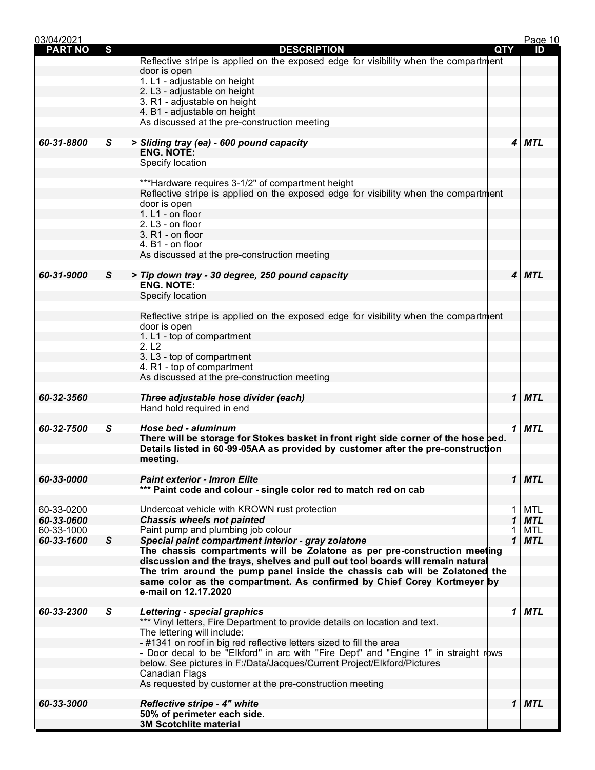| 03/04/2021               |              |                                                                                                                                                               |            |        | Page 10    |
|--------------------------|--------------|---------------------------------------------------------------------------------------------------------------------------------------------------------------|------------|--------|------------|
| <b>PART NO</b>           | S            | <b>DESCRIPTION</b>                                                                                                                                            | <b>QTY</b> |        | ID         |
|                          |              | Reflective stripe is applied on the exposed edge for visibility when the compartment                                                                          |            |        |            |
|                          |              | door is open                                                                                                                                                  |            |        |            |
|                          |              | 1. L1 - adjustable on height                                                                                                                                  |            |        |            |
|                          |              | 2. L3 - adjustable on height                                                                                                                                  |            |        |            |
|                          |              | 3. R1 - adjustable on height                                                                                                                                  |            |        |            |
|                          |              | 4. B1 - adjustable on height                                                                                                                                  |            |        |            |
|                          |              | As discussed at the pre-construction meeting                                                                                                                  |            |        |            |
|                          |              |                                                                                                                                                               |            |        |            |
| 60-31-8800               | S.           | > Sliding tray (ea) - 600 pound capacity                                                                                                                      |            | 4      | <b>MTL</b> |
|                          |              | <b>ENG. NOTE:</b>                                                                                                                                             |            |        |            |
|                          |              | Specify location                                                                                                                                              |            |        |            |
|                          |              |                                                                                                                                                               |            |        |            |
|                          |              | ***Hardware requires 3-1/2" of compartment height                                                                                                             |            |        |            |
|                          |              | Reflective stripe is applied on the exposed edge for visibility when the compartment                                                                          |            |        |            |
|                          |              | door is open                                                                                                                                                  |            |        |            |
|                          |              | 1. L1 - on floor                                                                                                                                              |            |        |            |
|                          |              | 2. L3 - on floor                                                                                                                                              |            |        |            |
|                          |              | 3. R1 - on floor                                                                                                                                              |            |        |            |
|                          |              | 4. B1 - on floor                                                                                                                                              |            |        |            |
|                          |              | As discussed at the pre-construction meeting                                                                                                                  |            |        |            |
|                          |              |                                                                                                                                                               |            |        |            |
| 60-31-9000               | S.           | > Tip down tray - 30 degree, 250 pound capacity                                                                                                               |            | 4      | <b>MTL</b> |
|                          |              | <b>ENG. NOTE:</b>                                                                                                                                             |            |        |            |
|                          |              | Specify location                                                                                                                                              |            |        |            |
|                          |              |                                                                                                                                                               |            |        |            |
|                          |              | Reflective stripe is applied on the exposed edge for visibility when the compartment                                                                          |            |        |            |
|                          |              | door is open                                                                                                                                                  |            |        |            |
|                          |              | 1. L1 - top of compartment                                                                                                                                    |            |        |            |
|                          |              | 2. L2                                                                                                                                                         |            |        |            |
|                          |              | 3. L3 - top of compartment                                                                                                                                    |            |        |            |
|                          |              | 4. R1 - top of compartment                                                                                                                                    |            |        |            |
|                          |              | As discussed at the pre-construction meeting                                                                                                                  |            |        |            |
|                          |              |                                                                                                                                                               |            |        |            |
| 60-32-3560               |              | Three adjustable hose divider (each)                                                                                                                          |            | 1      | <b>MTL</b> |
|                          |              | Hand hold required in end                                                                                                                                     |            |        |            |
|                          |              |                                                                                                                                                               |            |        |            |
| 60-32-7500               | S.           | Hose bed - aluminum                                                                                                                                           |            | 1      | MTL        |
|                          |              | There will be storage for Stokes basket in front right side corner of the hose bed.                                                                           |            |        |            |
|                          |              | Details listed in 60-99-05AA as provided by customer after the pre-construction                                                                               |            |        |            |
|                          |              | meeting.                                                                                                                                                      |            |        |            |
|                          |              |                                                                                                                                                               |            |        |            |
| 60-33-0000               |              | <b>Paint exterior - Imron Elite</b>                                                                                                                           |            |        | $1$ MTL    |
|                          |              | *** Paint code and colour - single color red to match red on cab                                                                                              |            |        |            |
| 60-33-0200               |              | Undercoat vehicle with KROWN rust protection                                                                                                                  |            | 1      | <b>MTL</b> |
|                          |              |                                                                                                                                                               |            | 1      | <b>MTL</b> |
| 60-33-0600<br>60-33-1000 |              | <b>Chassis wheels not painted</b><br>Paint pump and plumbing job colour                                                                                       |            |        | <b>MTL</b> |
| 60-33-1600               | $\mathsf{s}$ |                                                                                                                                                               |            | 1<br>1 | <b>MTL</b> |
|                          |              | Special paint compartment interior - gray zolatone                                                                                                            |            |        |            |
|                          |              | The chassis compartments will be Zolatone as per pre-construction meeting                                                                                     |            |        |            |
|                          |              | discussion and the trays, shelves and pull out tool boards will remain natural<br>The trim around the pump panel inside the chassis cab will be Zolatoned the |            |        |            |
|                          |              |                                                                                                                                                               |            |        |            |
|                          |              | same color as the compartment. As confirmed by Chief Corey Kortmeyer by<br>e-mail on 12.17.2020                                                               |            |        |            |
|                          |              |                                                                                                                                                               |            |        |            |
| 60-33-2300               | S            | <b>Lettering - special graphics</b>                                                                                                                           |            | 1      | <b>MTL</b> |
|                          |              | *** Vinyl letters, Fire Department to provide details on location and text.                                                                                   |            |        |            |
|                          |              | The lettering will include:                                                                                                                                   |            |        |            |
|                          |              | - #1341 on roof in big red reflective letters sized to fill the area                                                                                          |            |        |            |
|                          |              | - Door decal to be "Elkford" in arc with "Fire Dept" and "Engine 1" in straight rows                                                                          |            |        |            |
|                          |              | below. See pictures in F:/Data/Jacques/Current Project/Elkford/Pictures                                                                                       |            |        |            |
|                          |              | <b>Canadian Flags</b>                                                                                                                                         |            |        |            |
|                          |              | As requested by customer at the pre-construction meeting                                                                                                      |            |        |            |
|                          |              |                                                                                                                                                               |            |        |            |
| 60-33-3000               |              | <b>Reflective stripe - 4" white</b>                                                                                                                           |            |        | $1$ MTL    |
|                          |              | 50% of perimeter each side.                                                                                                                                   |            |        |            |
|                          |              | <b>3M Scotchlite material</b>                                                                                                                                 |            |        |            |
|                          |              |                                                                                                                                                               |            |        |            |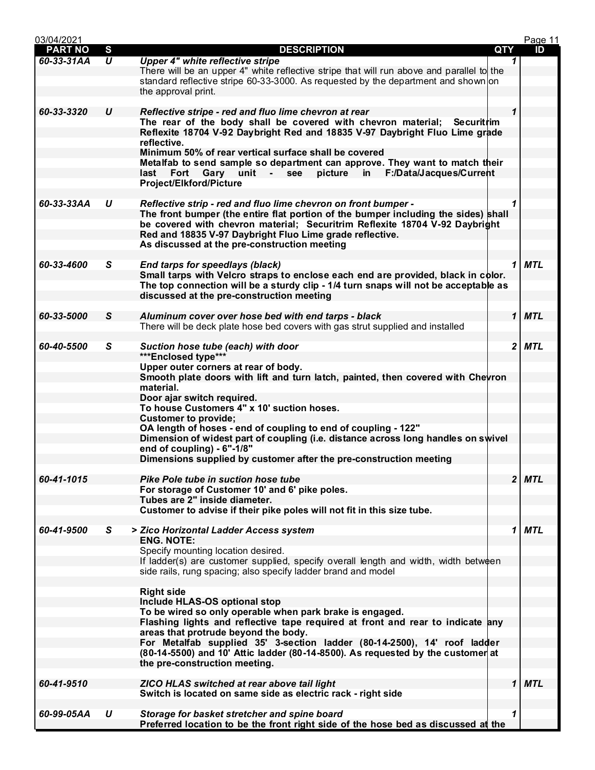| 03/04/2021     |                     |                                                                                                                                                                                                                               |     | Page 11                               |  |
|----------------|---------------------|-------------------------------------------------------------------------------------------------------------------------------------------------------------------------------------------------------------------------------|-----|---------------------------------------|--|
| <b>PART NO</b> | $\mathbf{s}$        | <b>DESCRIPTION</b>                                                                                                                                                                                                            | QTY | ID                                    |  |
| 60-33-31AA     | $\overline{\bm{U}}$ | <b>Upper 4" white reflective stripe</b><br>There will be an upper 4" white reflective stripe that will run above and parallel to the                                                                                          |     | 1                                     |  |
|                |                     | standard reflective stripe 60-33-3000. As requested by the department and shown on<br>the approval print.                                                                                                                     |     |                                       |  |
| 60-33-3320     | U                   | Reflective stripe - red and fluo lime chevron at rear                                                                                                                                                                         |     | $\mathbf 1$                           |  |
|                |                     | The rear of the body shall be covered with chevron material; Securitrim<br>Reflexite 18704 V-92 Daybright Red and 18835 V-97 Daybright Fluo Lime grade                                                                        |     |                                       |  |
|                |                     | reflective.<br>Minimum 50% of rear vertical surface shall be covered                                                                                                                                                          |     |                                       |  |
|                |                     | Metalfab to send sample so department can approve. They want to match their<br>Fort Gary unit - see picture in F:/Data/Jacques/Current<br>last<br>Project/Elkford/Picture                                                     |     |                                       |  |
| 60-33-33AA     | U                   | Reflective strip - red and fluo lime chevron on front bumper -                                                                                                                                                                |     | 1                                     |  |
|                |                     | The front bumper (the entire flat portion of the bumper including the sides) shall<br>be covered with chevron material; Securitrim Reflexite 18704 V-92 Daybright<br>Red and 18835 V-97 Daybright Fluo Lime grade reflective. |     |                                       |  |
|                |                     | As discussed at the pre-construction meeting                                                                                                                                                                                  |     |                                       |  |
| 60-33-4600     | S.                  | End tarps for speedlays (black)                                                                                                                                                                                               |     | <b>MTL</b><br>1                       |  |
|                |                     | Small tarps with Velcro straps to enclose each end are provided, black in color.<br>The top connection will be a sturdy clip - 1/4 turn snaps will not be acceptable as<br>discussed at the pre-construction meeting          |     |                                       |  |
|                |                     |                                                                                                                                                                                                                               |     |                                       |  |
| 60-33-5000     | S                   | Aluminum cover over hose bed with end tarps - black                                                                                                                                                                           |     | 1<br><b>MTL</b>                       |  |
|                |                     | There will be deck plate hose bed covers with gas strut supplied and installed                                                                                                                                                |     |                                       |  |
| 60-40-5500     | S.                  | Suction hose tube (each) with door<br>***Enclosed type***                                                                                                                                                                     |     | $\mathbf{2}$<br><b>MTL</b>            |  |
|                |                     | Upper outer corners at rear of body.<br>Smooth plate doors with lift and turn latch, painted, then covered with Chevron                                                                                                       |     |                                       |  |
|                |                     | material.<br>Door ajar switch required.                                                                                                                                                                                       |     |                                       |  |
|                |                     | To house Customers 4" x 10' suction hoses.                                                                                                                                                                                    |     |                                       |  |
|                |                     | <b>Customer to provide;</b><br>OA length of hoses - end of coupling to end of coupling - 122"                                                                                                                                 |     |                                       |  |
|                |                     | Dimension of widest part of coupling (i.e. distance across long handles on swivel<br>end of coupling) - 6"-1/8"                                                                                                               |     |                                       |  |
|                |                     | Dimensions supplied by customer after the pre-construction meeting                                                                                                                                                            |     |                                       |  |
| 60-41-1015     |                     | Pike Pole tube in suction hose tube<br>For storage of Customer 10' and 6' pike poles.                                                                                                                                         |     | $\overline{\mathbf{2}}$<br><b>MTL</b> |  |
|                |                     | Tubes are 2" inside diameter.<br>Customer to advise if their pike poles will not fit in this size tube.                                                                                                                       |     |                                       |  |
|                |                     |                                                                                                                                                                                                                               |     |                                       |  |
| 60-41-9500     | S.                  | > Zico Horizontal Ladder Access system<br><b>ENG. NOTE:</b>                                                                                                                                                                   |     | 1<br>MTL                              |  |
|                |                     | Specify mounting location desired.<br>If ladder(s) are customer supplied, specify overall length and width, width between                                                                                                     |     |                                       |  |
|                |                     | side rails, rung spacing; also specify ladder brand and model                                                                                                                                                                 |     |                                       |  |
|                |                     | <b>Right side</b>                                                                                                                                                                                                             |     |                                       |  |
|                |                     | Include HLAS-OS optional stop<br>To be wired so only operable when park brake is engaged.                                                                                                                                     |     |                                       |  |
|                |                     | Flashing lights and reflective tape required at front and rear to indicate any<br>areas that protrude beyond the body.                                                                                                        |     |                                       |  |
|                |                     | For Metalfab supplied 35' 3-section ladder (80-14-2500), 14' roof ladder<br>(80-14-5500) and 10' Attic ladder (80-14-8500). As requested by the customer at                                                                   |     |                                       |  |
|                |                     | the pre-construction meeting.                                                                                                                                                                                                 |     |                                       |  |
| 60-41-9510     |                     | <b>ZICO HLAS switched at rear above tail light</b><br>Switch is located on same side as electric rack - right side                                                                                                            |     | 1<br><b>MTL</b>                       |  |
|                |                     |                                                                                                                                                                                                                               |     |                                       |  |
| 60-99-05AA     | U                   | Storage for basket stretcher and spine board<br>Preferred location to be the front right side of the hose bed as discussed at the                                                                                             |     | 1                                     |  |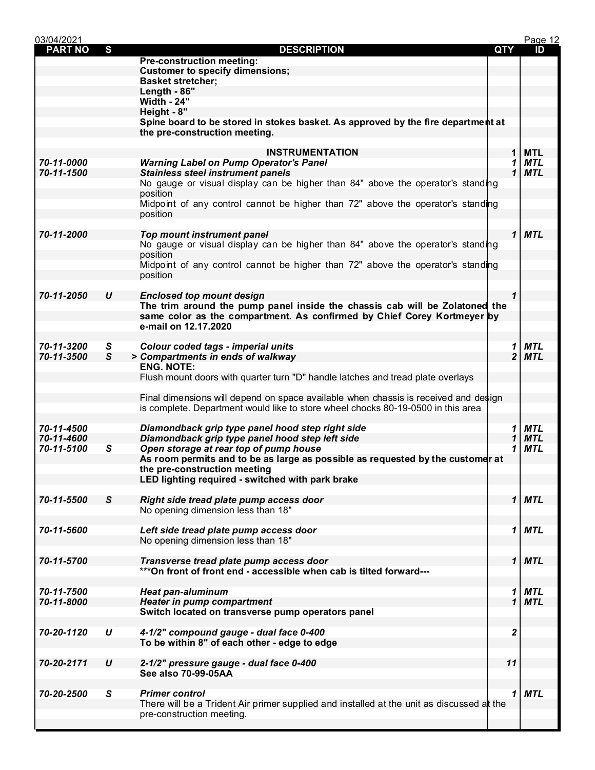| 03/04/2021     |                  |                                                                                           |                | Page 12    |
|----------------|------------------|-------------------------------------------------------------------------------------------|----------------|------------|
| <b>PART NO</b> | S                | <b>DESCRIPTION</b>                                                                        | QTY            | ID         |
|                |                  | <b>Pre-construction meeting:</b>                                                          |                |            |
|                |                  | <b>Customer to specify dimensions;</b>                                                    |                |            |
|                |                  | <b>Basket stretcher;</b>                                                                  |                |            |
|                |                  | Length - 86"                                                                              |                |            |
|                |                  | <b>Width - 24"</b>                                                                        |                |            |
|                |                  | Height - 8"                                                                               |                |            |
|                |                  | Spine board to be stored in stokes basket. As approved by the fire department at          |                |            |
|                |                  | the pre-construction meeting.                                                             |                |            |
|                |                  |                                                                                           |                |            |
|                |                  | <b>INSTRUMENTATION</b>                                                                    | 1              | MTL        |
| 70-11-0000     |                  | <b>Warning Label on Pump Operator's Panel</b>                                             | 1              | <b>MTL</b> |
| 70-11-1500     |                  | <b>Stainless steel instrument panels</b>                                                  | 1              | <b>MTL</b> |
|                |                  | No gauge or visual display can be higher than 84" above the operator's standing           |                |            |
|                |                  | position                                                                                  |                |            |
|                |                  | Midpoint of any control cannot be higher than 72" above the operator's standing           |                |            |
|                |                  | position                                                                                  |                |            |
|                |                  |                                                                                           |                |            |
| 70-11-2000     |                  | <b>Top mount instrument panel</b>                                                         | $\mathbf{1}$   | <b>MTL</b> |
|                |                  | No gauge or visual display can be higher than 84" above the operator's standing           |                |            |
|                |                  | position                                                                                  |                |            |
|                |                  | Midpoint of any control cannot be higher than 72" above the operator's standing           |                |            |
|                |                  | position                                                                                  |                |            |
|                |                  |                                                                                           |                |            |
| 70-11-2050     | U                | <b>Enclosed top mount design</b>                                                          | $\mathbf 1$    |            |
|                |                  | The trim around the pump panel inside the chassis cab will be Zolatoned the               |                |            |
|                |                  | same color as the compartment. As confirmed by Chief Corey Kortmeyer by                   |                |            |
|                |                  | e-mail on 12.17.2020                                                                      |                |            |
|                |                  |                                                                                           |                |            |
| 70-11-3200     | S                | <b>Colour coded tags - imperial units</b>                                                 | 1              | <b>MTL</b> |
| 70-11-3500     | S                | > Compartments in ends of walkway                                                         | $\overline{2}$ | <b>MTL</b> |
|                |                  | <b>ENG. NOTE:</b>                                                                         |                |            |
|                |                  | Flush mount doors with quarter turn "D" handle latches and tread plate overlays           |                |            |
|                |                  |                                                                                           |                |            |
|                |                  | Final dimensions will depend on space available when chassis is received and design       |                |            |
|                |                  | is complete. Department would like to store wheel chocks 80-19-0500 in this area          |                |            |
|                |                  |                                                                                           |                |            |
| 70-11-4500     |                  | Diamondback grip type panel hood step right side                                          | 1              | <b>MTL</b> |
| 70-11-4600     |                  | Diamondback grip type panel hood step left side                                           | 1              | <b>MTL</b> |
| 70-11-5100     | S                | Open storage at rear top of pump house                                                    | 1              | <b>MTL</b> |
|                |                  | As room permits and to be as large as possible as requested by the customer at            |                |            |
|                |                  | the pre-construction meeting                                                              |                |            |
|                |                  | LED lighting required - switched with park brake                                          |                |            |
|                |                  |                                                                                           |                |            |
| 70-11-5500     |                  |                                                                                           |                |            |
|                | S                | Right side tread plate pump access door                                                   |                | 1 MTL      |
|                |                  | No opening dimension less than 18"                                                        |                |            |
|                |                  |                                                                                           |                |            |
| 70-11-5600     |                  | Left side tread plate pump access door                                                    | 1              | <b>MTL</b> |
|                |                  | No opening dimension less than 18"                                                        |                |            |
|                |                  |                                                                                           |                |            |
| 70-11-5700     |                  | Transverse tread plate pump access door                                                   | $\mathbf 1$    | <b>MTL</b> |
|                |                  | ***On front of front end - accessible when cab is tilted forward---                       |                |            |
|                |                  |                                                                                           |                |            |
| 70-11-7500     |                  | <b>Heat pan-aluminum</b>                                                                  | 1              | <b>MTL</b> |
| 70-11-8000     |                  | <b>Heater in pump compartment</b>                                                         | 1              | <b>MTL</b> |
|                |                  | Switch located on transverse pump operators panel                                         |                |            |
|                |                  |                                                                                           |                |            |
| 70-20-1120     | U                | 4-1/2" compound gauge - dual face 0-400                                                   | 2              |            |
|                |                  | To be within 8" of each other - edge to edge                                              |                |            |
|                |                  |                                                                                           |                |            |
| 70-20-2171     | $\boldsymbol{U}$ | 2-1/2" pressure gauge - dual face 0-400                                                   | 11             |            |
|                |                  | See also 70-99-05AA                                                                       |                |            |
|                |                  |                                                                                           |                |            |
| 70-20-2500     | S                | <b>Primer control</b>                                                                     | 1              | <b>MTL</b> |
|                |                  | There will be a Trident Air primer supplied and installed at the unit as discussed at the |                |            |
|                |                  | pre-construction meeting.                                                                 |                |            |
|                |                  |                                                                                           |                |            |